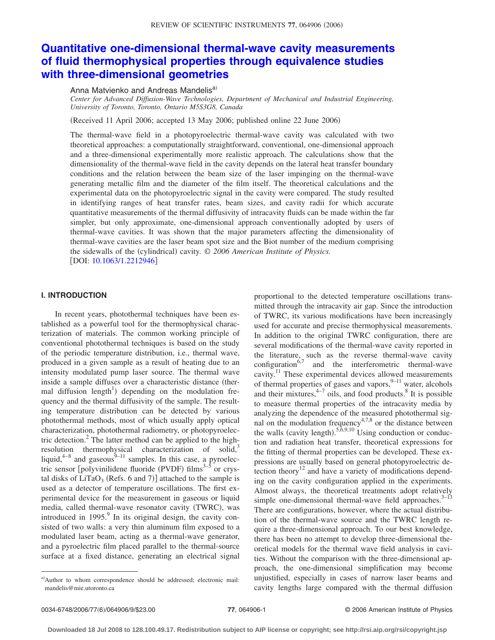# **[Quantitative one-dimensional thermal-wave cavity measurements](http://dx.doi.org/10.1063/1.2212946) [of fluid thermophysical properties through equivalence studies](http://dx.doi.org/10.1063/1.2212946) [with three-dimensional geometries](http://dx.doi.org/10.1063/1.2212946)**

Anna Matvienko and Andreas Mandelis<sup>a)</sup>

*Center for Advanced Diffusion-Wave Technologies, Department of Mechanical and Industrial Engineering, University of Toronto, Toronto, Ontario M5S3G8, Canada*

(Received 11 April 2006; accepted 13 May 2006; published online 22 June 2006)

The thermal-wave field in a photopyroelectric thermal-wave cavity was calculated with two theoretical approaches: a computationally straightforward, conventional, one-dimensional approach and a three-dimensional experimentally more realistic approach. The calculations show that the dimensionality of the thermal-wave field in the cavity depends on the lateral heat transfer boundary conditions and the relation between the beam size of the laser impinging on the thermal-wave generating metallic film and the diameter of the film itself. The theoretical calculations and the experimental data on the photopyroelectric signal in the cavity were compared. The study resulted in identifying ranges of heat transfer rates, beam sizes, and cavity radii for which accurate quantitative measurements of the thermal diffusivity of intracavity fluids can be made within the far simpler, but only approximate, one-dimensional approach conventionally adopted by users of thermal-wave cavities. It was shown that the major parameters affecting the dimensionality of thermal-wave cavities are the laser beam spot size and the Biot number of the medium comprising the sidewalls of the (cylindrical) cavity. © 2006 American Institute of Physics. [DOI: [10.1063/1.2212946](http://dx.doi.org/10.1063/1.2212946)]

## **I. INTRODUCTION**

In recent years, photothermal techniques have been established as a powerful tool for the thermophysical characterization of materials. The common working principle of conventional photothermal techniques is based on the study of the periodic temperature distribution, i.e., thermal wave, produced in a given sample as a result of heating due to an intensity modulated pump laser source. The thermal wave inside a sample diffuses over a characteristic distance (thermal diffusion  $length<sup>1</sup>$  depending on the modulation frequency and the thermal diffusivity of the sample. The resulting temperature distribution can be detected by various photothermal methods, most of which usually apply optical characterization, photothermal radiometry, or photopyroelectric detection.<sup>2</sup> The latter method can be applied to the highresolution thermophysical characterization of solid, $3$ liquid, $4-8$  and gaseous $9-11$  samples. In this case, a pyroelectric sensor [polyvinilidene fluoride (PVDF) films $3-5$  or crystal disks of  $LiTaO_3$  (Refs. 6 and 7)] attached to the sample is used as a detector of temperature oscillations. The first experimental device for the measurement in gaseous or liquid media, called thermal-wave resonator cavity (TWRC), was introduced in 1995. $\frac{9}{5}$  In its original design, the cavity consisted of two walls: a very thin aluminum film exposed to a modulated laser beam, acting as a thermal-wave generator, and a pyroelectric film placed parallel to the thermal-source surface at a fixed distance, generating an electrical signal

proportional to the detected temperature oscillations transmitted through the intracavity air gap. Since the introduction of TWRC, its various modifications have been increasingly used for accurate and precise thermophysical measurements. In addition to the original TWRC configuration, there are several modifications of the thermal-wave cavity reported in the literature, such as the reverse thermal-wave cavity configuration $6.7$  and the interferometric thermal-wave cavity.<sup>11</sup> These experimental devices allowed measurements of thermal properties of gases and vapors,  $9-11$  water, alcohols and their mixtures,  $4-7$  oils, and food products.<sup>8</sup> It is possible to measure thermal properties of the intracavity media by analyzing the dependence of the measured photothermal signal on the modulation frequency $4,7,8$  or the distance between the walls (cavity length).<sup>5, $\tilde{6}$ , $9,10$  Using conduction or conduc-</sup> tion and radiation heat transfer, theoretical expressions for the fitting of thermal properties can be developed. These expressions are usually based on general photopyroelectric detection theory<sup>12</sup> and have a variety of modifications depending on the cavity configuration applied in the experiments. Almost always, the theoretical treatments adopt relatively simple one-dimensional thermal-wave field approaches. $3-13$ There are configurations, however, where the actual distribution of the thermal-wave source and the TWRC length require a three-dimensional approach. To our best knowledge, there has been no attempt to develop three-dimensional theoretical models for the thermal wave field analysis in cavities. Without the comparison with the three-dimensional approach, the one-dimensional simplification may become unjustified, especially in cases of narrow laser beams and cavity lengths large compared with the thermal diffusion

a)Author to whom correspondence should be addressed; electronic mail: mandelis@mie.utoronto.ca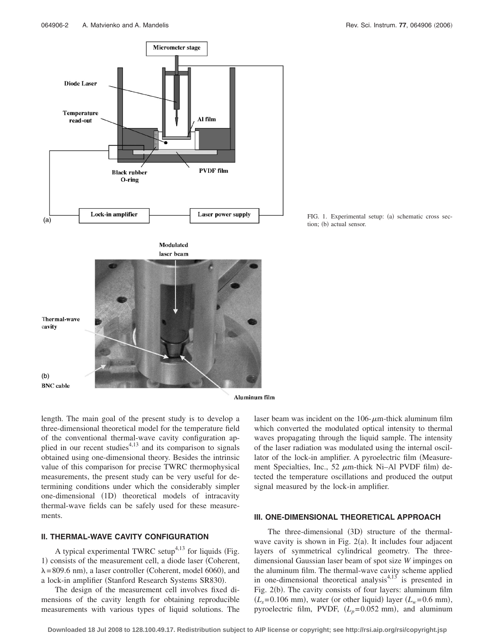

FIG. 1. Experimental setup: (a) schematic cross section; (b) actual sensor.

Aluminum film

length. The main goal of the present study is to develop a three-dimensional theoretical model for the temperature field of the conventional thermal-wave cavity configuration applied in our recent studies<sup>4,13</sup> and its comparison to signals obtained using one-dimensional theory. Besides the intrinsic value of this comparison for precise TWRC thermophysical measurements, the present study can be very useful for determining conditions under which the considerably simpler one-dimensional (1D) theoretical models of intracavity thermal-wave fields can be safely used for these measurements.

## **II. THERMAL-WAVE CAVITY CONFIGURATION**

A typical experimental TWRC setup<sup>4,13</sup> for liquids (Fig. 1) consists of the measurement cell, a diode laser (Coherent,  $\lambda = 809.6$  nm), a laser controller (Coherent, model 6060), and a lock-in amplifier (Stanford Research Systems SR830).

The design of the measurement cell involves fixed dimensions of the cavity length for obtaining reproducible measurements with various types of liquid solutions. The

laser beam was incident on the  $106$ - $\mu$ m-thick aluminum film which converted the modulated optical intensity to thermal waves propagating through the liquid sample. The intensity of the laser radiation was modulated using the internal oscillator of the lock-in amplifier. A pyroelectric film (Measurement Specialties, Inc., 52  $\mu$ m-thick Ni-Al PVDF film) detected the temperature oscillations and produced the output signal measured by the lock-in amplifier.

## **III. ONE-DIMENSIONAL THEORETICAL APPROACH**

The three-dimensional (3D) structure of the thermalwave cavity is shown in Fig.  $2(a)$ . It includes four adjacent layers of symmetrical cylindrical geometry. The threedimensional Gaussian laser beam of spot size *W* impinges on the aluminum film. The thermal-wave cavity scheme applied in one-dimensional theoretical analysis $4.13$  is presented in Fig. 2(b). The cavity consists of four layers: aluminum film  $(L<sub>s</sub>=0.106$  mm), water (or other liquid) layer  $(L<sub>w</sub>=0.6$  mm), pyroelectric film, PVDF,  $(L_p=0.052 \text{ mm})$ , and aluminum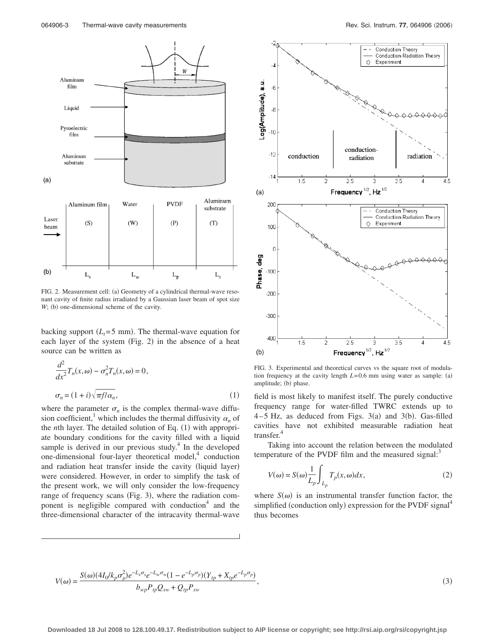

FIG. 2. Measurement cell: (a) Geometry of a cylindrical thermal-wave resonant cavity of finite radius irradiated by a Gaussian laser beam of spot size *W*; (b) one-dimensional scheme of the cavity.

backing support  $(L_t = 5 \text{ mm})$ . The thermal-wave equation for each layer of the system (Fig. 2) in the absence of a heat source can be written as

$$
\frac{d^2}{dx^2}T_n(x,\omega) - \sigma_n^2 T_n(x,\omega) = 0,
$$
  

$$
\sigma_n = (1+i)\sqrt{\pi f/\alpha_n},
$$
 (1)

where the parameter  $\sigma_n$  is the complex thermal-wave diffusion coefficient,<sup>1</sup> which includes the thermal diffusivity  $\alpha_n$  of the *n*th layer. The detailed solution of Eq. (1) with appropriate boundary conditions for the cavity filled with a liquid sample is derived in our previous study. $4$  In the developed one-dimensional four-layer theoretical model, $4$  conduction and radiation heat transfer inside the cavity (liquid layer) were considered. However, in order to simplify the task of the present work, we will only consider the low-frequency range of frequency scans (Fig. 3), where the radiation component is negligible compared with conduction<sup>4</sup> and the three-dimensional character of the intracavity thermal-wave



FIG. 3. Experimental and theoretical curves vs the square root of modulation frequency at the cavity length  $L=0.6$  mm using water as sample: (a) amplitude; (b) phase.

field is most likely to manifest itself. The purely conductive frequency range for water-filled TWRC extends up to  $4-5$  Hz, as deduced from Figs.  $3(a)$  and  $3(b)$ . Gas-filled cavities have not exhibited measurable radiation heat transfer.<sup>4</sup>

Taking into account the relation between the modulated temperature of the PVDF film and the measured signal: $3$ 

$$
V(\omega) = S(\omega) \frac{1}{L_p} \int_{L_p} T_p(x, \omega) dx,
$$
\n(2)

where  $S(\omega)$  is an instrumental transfer function factor, the simplified (conduction only) expression for the PVDF signal<sup>4</sup> thus becomes

$$
V(\omega) = \frac{S(\omega)(4I_0/k_p \sigma_p^2)e^{-L_s \sigma_s}e^{-L_w \sigma_w}(1 - e^{-L_p \sigma_p})(Y_{tp} + X_{tp}e^{-L_p \sigma_p})}{b_{wp}P_{tp}Q_{sw} + Q_{tp}P_{sw}},
$$
\n(3)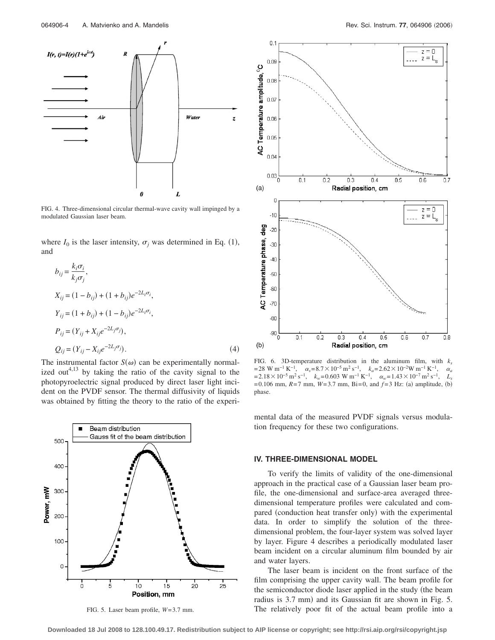

FIG. 4. Three-dimensional circular thermal-wave cavity wall impinged by a modulated Gaussian laser beam.

where  $I_0$  is the laser intensity,  $\sigma_j$  was determined in Eq. (1), and

$$
b_{ij} = \frac{k_i \sigma_i}{k_j \sigma_j},
$$
  
\n
$$
X_{ij} = (1 - b_{ij}) + (1 + b_{ij})e^{-2L_i \sigma_i},
$$
  
\n
$$
Y_{ij} = (1 + b_{ij}) + (1 - b_{ij})e^{-2L_i \sigma_i},
$$
  
\n
$$
P_{ij} = (Y_{ij} + X_{ij}e^{-2L_j \sigma_j}),
$$
  
\n
$$
Q_{ij} = (Y_{ij} - X_{ij}e^{-2L_j \sigma_j}).
$$
\n(4)

The instrumental factor  $S(\omega)$  can be experimentally normalized out<sup>4,13</sup> by taking the ratio of the cavity signal to the photopyroelectric signal produced by direct laser light incident on the PVDF sensor. The thermal diffusivity of liquids was obtained by fitting the theory to the ratio of the experi-



FIG. 5. Laser beam profile, *W*= 3.7 mm.



FIG. 6. 3D-temperature distribution in the aluminum film, with  $k_s$ = 28 W m<sup>-1</sup> K<sup>-1</sup>,  $\alpha_s$ = 8.7 × 10<sup>-5</sup> m<sup>2</sup> s<sup>-1</sup>,  $k_a$ = 2.62 × 10<sup>-2</sup>W m<sup>-1</sup> K<sup>-1</sup>,  $\alpha_a$ <br>= 2.18 × 10<sup>-5</sup> m<sup>2</sup> s<sup>-1</sup>,  $k_w$ = 0.603 W m<sup>-1</sup> K<sup>-1</sup>,  $\alpha_w$ = 1.43 × 10<sup>-7</sup> m<sup>2</sup> s<sup>-1</sup>,  $L_e$  $= 2.18 \times 10^{-5} \text{ m}^2 \text{ s}^{-1}$ ,  $k_w = 0.603 \text{ W m}^{-1} \text{ K}^{-1}$ ,  $\alpha_w = 1.43 \times 10^{-7} \text{ m}^2 \text{ s}^{-1}$ ,  $= 0.106$  mm,  $R = 7$  mm,  $W = 3.7$  mm,  $Bi = 0$ , and  $f = 3$  Hz: (a) amplitude, (b) phase.

mental data of the measured PVDF signals versus modulation frequency for these two configurations.

#### **IV. THREE-DIMENSIONAL MODEL**

To verify the limits of validity of the one-dimensional approach in the practical case of a Gaussian laser beam profile, the one-dimensional and surface-area averaged threedimensional temperature profiles were calculated and compared (conduction heat transfer only) with the experimental data. In order to simplify the solution of the threedimensional problem, the four-layer system was solved layer by layer. Figure 4 describes a periodically modulated laser beam incident on a circular aluminum film bounded by air and water layers.

The laser beam is incident on the front surface of the film comprising the upper cavity wall. The beam profile for the semiconductor diode laser applied in the study (the beam radius is 3.7 mm) and its Gaussian fit are shown in Fig. 5. The relatively poor fit of the actual beam profile into a

**Downloaded 18 Jul 2008 to 128.100.49.17. Redistribution subject to AIP license or copyright; see http://rsi.aip.org/rsi/copyright.jsp**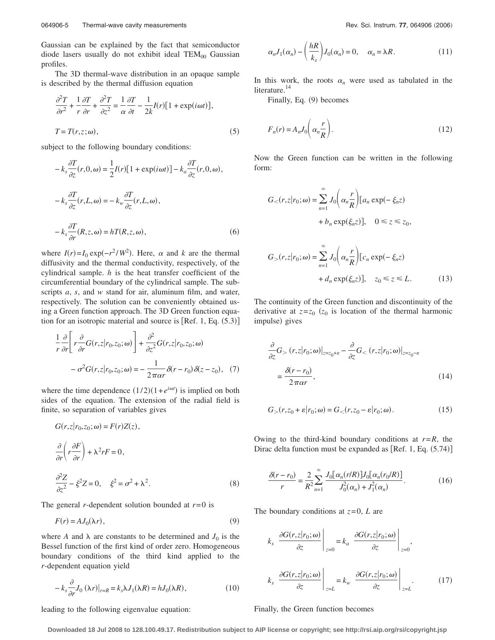Gaussian can be explained by the fact that semiconductor diode lasers usually do not exhibit ideal  $TEM_{00}$  Gaussian profiles.

The 3D thermal-wave distribution in an opaque sample is described by the thermal diffusion equation

$$
\frac{\partial^2 T}{\partial r^2} + \frac{1}{r} \frac{\partial T}{\partial r} + \frac{\partial^2 T}{\partial z^2} = \frac{1}{\alpha} \frac{\partial T}{\partial t} - \frac{1}{2k} I(r) [1 + \exp(i\omega t)],
$$
  
\n
$$
T = T(r, z; \omega),
$$
\n(5)

subject to the following boundary conditions:

$$
-k_s \frac{\partial T}{\partial z}(r,0,\omega) = \frac{1}{2}I(r)[1 + \exp(i\omega t)] - k_a \frac{\partial T}{\partial z}(r,0,\omega),
$$
  

$$
-k_s \frac{\partial T}{\partial z}(r,L,\omega) = -k_w \frac{\partial T}{\partial z}(r,L,\omega),
$$
  

$$
-k_s \frac{\partial T}{\partial r}(R,z,\omega) = hT(R,z,\omega),
$$
 (6)

where  $I(r) = I_0 \exp(-r^2/W^2)$ . Here,  $\alpha$  and *k* are the thermal diffusivity and the thermal conductivity, respectively, of the cylindrical sample. *h* is the heat transfer coefficient of the circumferential boundary of the cylindrical sample. The subscripts *a*, *s*, and *w* stand for air, aluminum film, and water, respectively. The solution can be conveniently obtained using a Green function approach. The 3D Green function equation for an isotropic material and source is  $[Ref. 1, Eq. (5.3)]$ 

$$
\frac{1}{r}\frac{\partial}{\partial r}\bigg[r\frac{\partial}{\partial r}G(r,z|r_0,z_0;\omega)\bigg]+\frac{\partial^2}{\partial z^2}G(r,z|r_0,z_0;\omega) \n-\sigma^2G(r,z|r_0,z_0;\omega)=-\frac{1}{2\pi\alpha r}\delta(r-r_0)\delta(z-z_0),
$$
\n(7)

where the time dependence  $(1/2)(1 + e^{i\omega t})$  is implied on both sides of the equation. The extension of the radial field is finite, so separation of variables gives

$$
G(r,z|r_0,z_0;\omega) = F(r)Z(z),
$$
  
\n
$$
\frac{\partial}{\partial r}\left(r\frac{\partial F}{\partial r}\right) + \lambda^2 rF = 0,
$$
  
\n
$$
\frac{\partial^2 Z}{\partial z^2} - \xi^2 Z = 0, \quad \xi^2 = \sigma^2 + \lambda^2.
$$
\n(8)

The general *r*-dependent solution bounded at *r*= 0 is

$$
F(r) = A J_0(\lambda r),\tag{9}
$$

where *A* and  $\lambda$  are constants to be determined and  $J_0$  is the Bessel function of the first kind of order zero. Homogeneous boundary conditions of the third kind applied to the *r*-dependent equation yield

$$
-k_s \frac{\partial}{\partial r} J_0(\lambda r)|_{r=R} = k_s \lambda J_1(\lambda R) = h J_0(\lambda R), \qquad (10)
$$

$$
\alpha_n J_1(\alpha_n) - \left(\frac{hR}{k_s}\right) J_0(\alpha_n) = 0, \quad \alpha_n = \lambda R. \tag{11}
$$

In this work, the roots  $\alpha_n$  were used as tabulated in the literature.<sup>14</sup>

Finally, Eq. (9) becomes

$$
F_n(r) = A_n J_0 \left( \alpha_n \frac{r}{R} \right). \tag{12}
$$

Now the Green function can be written in the following form:

$$
G_{<}(r,z|r_0;\omega) = \sum_{n=1}^{\infty} J_0\left(\alpha_n \frac{r}{R}\right) [a_n \exp(-\xi_n z) + b_n \exp(\xi_n z)], \quad 0 \le z \le z_0,
$$
\n
$$
G_{>}(r,z|r_0;\omega) = \sum_{n=1}^{\infty} J_0\left(\alpha_n \frac{r}{R}\right) [c_n \exp(-\xi_n z) + d_n \exp(\xi_n z)], \quad z_0 \le z \le L. \tag{13}
$$

The continuity of the Green function and discontinuity of the derivative at  $z=z_0$  ( $z_0$  is location of the thermal harmonic impulse) gives

$$
\frac{\partial}{\partial z} G_{>}(r, z | r_0; \omega)|_{z=z_0+\varepsilon} - \frac{\partial}{\partial z} G_{<}(r, z | r_0; \omega)|_{z=z_0-\varepsilon}
$$
\n
$$
= \frac{\partial (r - r_0)}{2\pi \alpha r},
$$
\n(14)

$$
G_{>}(r, z_0 + \varepsilon | r_0; \omega) = G_{<}(r, z_0 - \varepsilon | r_0; \omega).
$$
 (15)

Owing to the third-kind boundary conditions at  $r = R$ , the Dirac delta function must be expanded as  $[Ref. 1, Eq. (5.74)]$ 

$$
\frac{\delta(r - r_0)}{r} = \frac{2}{R^2} \sum_{n=1}^{\infty} \frac{J_0[\alpha_n(r/R)] J_0[\alpha_n(r_0/R)]}{J_0^2(\alpha_n) + J_1^2(\alpha_n)}.
$$
(16)

The boundary conditions at *z*=0, *L* are

$$
k_s \left. \frac{\partial G(r, z | r_0; \omega)}{\partial z} \right|_{z=0} = k_a \left. \frac{\partial G(r, z | r_0; \omega)}{\partial z} \right|_{z=0},
$$
  

$$
k_s \left. \frac{\partial G(r, z | r_0; \omega)}{\partial z} \right|_{z=L} = k_w \left. \frac{\partial G(r, z | r_0; \omega)}{\partial z} \right|_{z=L}.
$$
 (17)

#### Finally, the Green function becomes

leading to the following eigenvalue equation: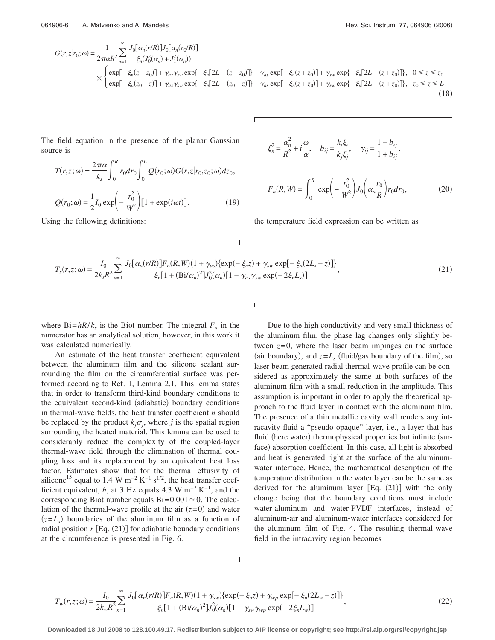$$
G(r,z|r_0;\omega) = \frac{1}{2\pi\alpha R^2} \sum_{n=1}^{\infty} \frac{J_0[\alpha_n(r/R)]J_0[\alpha_n(r_0/R)]}{\xi_n(J_0^2(\alpha_n) + J_1^2(\alpha_n))}
$$
  
 
$$
\times \begin{cases} \exp[-\xi_n(z-z_0)] + \gamma_{as}\gamma_{sw} \exp\{-\xi_n[2L - (z-z_0)]\} + \gamma_{as} \exp[-\xi_n(z+z_0)] + \gamma_{sw} \exp\{-\xi_n[2L - (z+z_0)]\}, & 0 \le z \le z_0 \\ \exp[-\xi_n(z_0-z)] + \gamma_{as}\gamma_{sw} \exp\{-\xi_n[2L - (z_0-z)]\} + \gamma_{as} \exp[-\xi_n(z+z_0)] + \gamma_{sw} \exp\{-\xi_n[2L - (z+z_0)]\}, & z_0 \le z \le L. \end{cases}
$$
(18)

The field equation in the presence of the planar Gaussian source is

$$
T(r,z;\omega) = \frac{2\pi\alpha}{k_s} \int_0^R r_0 dr_0 \int_0^L Q(r_0;\omega)G(r,z|r_0,z_0;\omega)dz_0,
$$
  

$$
Q(r_0;\omega) = \frac{1}{2}I_0 \exp\left(-\frac{r_0^2}{W^2}\right)[1 + \exp(i\omega t)].
$$
 (19)

Using the following definitions:

$$
\xi_n^2 = \frac{\alpha_n^2}{R^2} + i\frac{\omega}{\alpha}, \quad b_{ij} = \frac{k_i \xi_i}{k_j \xi_j}, \quad \gamma_{ij} = \frac{1 - b_{ij}}{1 + b_{ij}},
$$

$$
F_n(R, W) = \int_0^R \exp\left(-\frac{r_0^2}{W^2}\right) J_0\left(\alpha_n \frac{r_0}{R}\right) r_0 dr_0, \tag{20}
$$

the temperature field expression can be written as

$$
T_s(r,z;\omega) = \frac{I_0}{2k_s R^2} \sum_{n=1}^{\infty} \frac{J_0[\alpha_n(r/R)] F_n(R,W)(1+\gamma_{as}) \{\exp(-\xi_n z) + \gamma_{sw} \exp[-\xi_n(2L_s - z)]\}}{\xi_n [1 + (Bi/\alpha_n)^2] J_0^2(\alpha_n) [1 - \gamma_{as}\gamma_{sw} \exp(-2\xi_n L_s)]},
$$
(21)

where  $Bi = hR/k_s$  is the Biot number. The integral  $F_n$  in the numerator has an analytical solution, however, in this work it was calculated numerically.

An estimate of the heat transfer coefficient equivalent between the aluminum film and the silicone sealant surrounding the film on the circumferential surface was performed according to Ref. 1, Lemma 2.1. This lemma states that in order to transform third-kind boundary conditions to the equivalent second-kind (adiabatic) boundary conditions in thermal-wave fields, the heat transfer coefficient *h* should be replaced by the product  $k_j \sigma_j$ , where *j* is the spatial region surrounding the heated material. This lemma can be used to considerably reduce the complexity of the coupled-layer thermal-wave field through the elimination of thermal coupling loss and its replacement by an equivalent heat loss factor. Estimates show that for the thermal effusivity of silicone<sup>15</sup> equal to 1.4 W m<sup>-2</sup> K<sup>-1</sup> s<sup>1/2</sup>, the heat transfer coefficient equivalent, *h*, at 3 Hz equals 4.3 W m<sup>-2</sup> K<sup>-1</sup>, and the corresponding Biot number equals  $Bi = 0.001 \approx 0$ . The calculation of the thermal-wave profile at the air  $(z=0)$  and water  $(z=L_s)$  boundaries of the aluminum film as a function of radial position  $r$  [Eq.  $(21)$ ] for adiabatic boundary conditions at the circumference is presented in Fig. 6.

Due to the high conductivity and very small thickness of the aluminum film, the phase lag changes only slightly between  $z=0$ , where the laser beam impinges on the surface (air boundary), and  $z = L_s$  (fluid/gas boundary of the film), so laser beam generated radial thermal-wave profile can be considered as approximately the same at both surfaces of the aluminum film with a small reduction in the amplitude. This assumption is important in order to apply the theoretical approach to the fluid layer in contact with the aluminum film. The presence of a thin metallic cavity wall renders any intracavity fluid a "pseudo-opaque" layer, i.e., a layer that has fluid (here water) thermophysical properties but infinite (surface) absorption coefficient. In this case, all light is absorbed and heat is generated right at the surface of the aluminumwater interface. Hence, the mathematical description of the temperature distribution in the water layer can be the same as derived for the aluminum layer  $[Eq. (21)]$  with the only change being that the boundary conditions must include water-aluminum and water-PVDF interfaces, instead of aluminum-air and aluminum-water interfaces considered for the aluminum film of Fig. 4. The resulting thermal-wave field in the intracavity region becomes

$$
T_w(r,z;\omega) = \frac{I_0}{2k_wR^2} \sum_{n=1}^{\infty} \frac{J_0[\alpha_n(r/R)]F_n(R,W)(1+\gamma_{sw})\{\exp(-\xi_n z) + \gamma_{wp}\exp[-\xi_n(2L_w-z)]\}}{\xi_n[1+(Bi/\alpha_n)^2]J_0^2(\alpha_n)[1-\gamma_{sw}\gamma_{wp}\exp(-2\xi_nL_w)]},
$$
(22)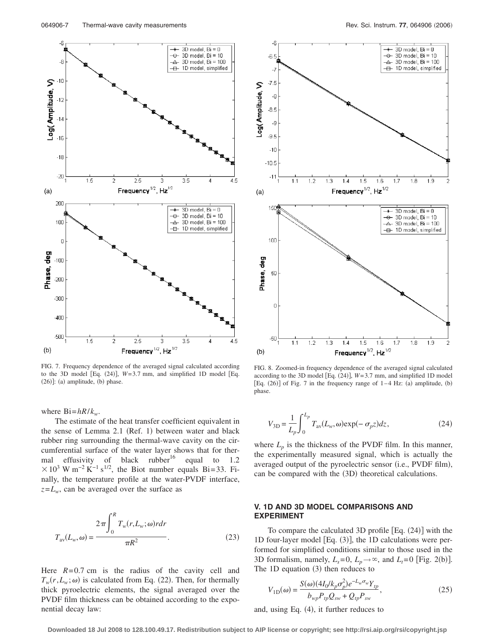

FIG. 7. Frequency dependence of the averaged signal calculated according to the 3D model [Eq.  $(24)$ ],  $W=3.7$  mm, and simplified 1D model [Eq.  $(26)$ ]: (a) amplitude, (b) phase.

where  $Bi = hR/k_w$ .

The estimate of the heat transfer coefficient equivalent in the sense of Lemma 2.1 (Ref. 1) between water and black rubber ring surrounding the thermal-wave cavity on the circumferential surface of the water layer shows that for thermal effusivity of black rubber<sup>16</sup> equal to 1.2  $10^{3}$  W m<sup>-2</sup> K<sup>-1</sup> s<sup>1/2</sup>, the Biot number equals Bi=33. Finally, the temperature profile at the water-PVDF interface,  $z=L_w$ , can be averaged over the surface as

$$
T_{\text{av}}(L_w, \omega) = \frac{2\pi \int_0^R T_w(r, L_w; \omega) r dr}{\pi R^2}.
$$
 (23)

Here  $R = 0.7$  cm is the radius of the cavity cell and  $T_w(r, L_w; \omega)$  is calculated from Eq. (22). Then, for thermally thick pyroelectric elements, the signal averaged over the PVDF film thickness can be obtained according to the exponential decay law:



FIG. 8. Zoomed-in frequency dependence of the averaged signal calculated according to the 3D model [Eq.  $(24)$ ],  $W=3.7$  mm, and simplified 1D model [Eq.  $(26)$ ] of Fig. 7 in the frequency range of  $1-4$  Hz: (a) amplitude, (b) phase.

$$
V_{3D} = \frac{1}{L_p} \int_0^{L_p} T_{\text{av}}(L_w, \omega) \exp(-\sigma_p z) dz,
$$
 (24)

where  $L_p$  is the thickness of the PVDF film. In this manner, the experimentally measured signal, which is actually the averaged output of the pyroelectric sensor (i.e., PVDF film), can be compared with the (3D) theoretical calculations.

## **V. 1D AND 3D MODEL COMPARISONS AND EXPERIMENT**

To compare the calculated  $3D$  profile  $[Eq. (24)]$  with the 1D four-layer model  $[Eq. (3)]$ , the 1D calculations were performed for simplified conditions similar to those used in the 3D formalism, namely,  $L_s = 0$ ,  $L_p \rightarrow \infty$ , and  $L_t = 0$  [Fig. 2(b)]. The  $1D$  equation  $(3)$  then reduces to

$$
V_{1D}(\omega) = \frac{S(\omega)(4I_0/k_p\sigma_p^2)e^{-L_w\sigma_w}Y_{tp}}{b_{wp}P_{tp}Q_{sw} + Q_{tp}P_{sw}},
$$
(25)

and, using Eq. (4), it further reduces to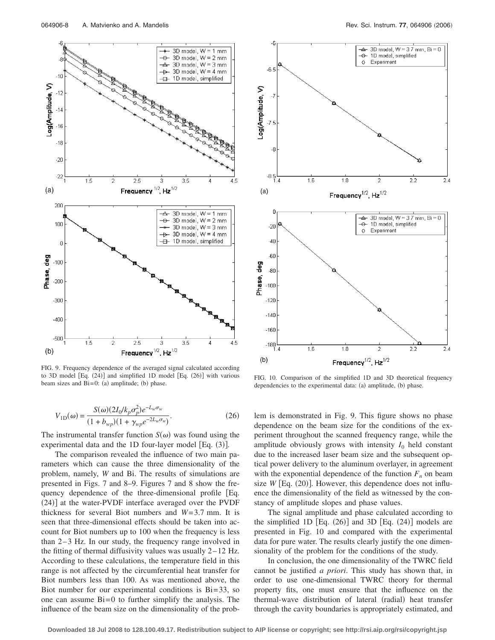

FIG. 9. Frequency dependence of the averaged signal calculated according to 3D model [Eq. (24)] and simplified 1D model [Eq. (26)] with various beam sizes and  $Bi=0$ : (a) amplitude; (b)

$$
V_{1D}(\omega) = \frac{S(\omega)(2I_0/k_p \sigma_p^2) e^{-L_w \sigma_w}}{(1 + b_{wp})(1 + \gamma_{wp} e^{-2L_w \sigma_w})}.
$$
 (26)

The instrumental transfer function  $S(\omega)$  was found using the experimental data and the 1D four-layer model [Eq. (3)].

The comparison revealed the influence of two main parameters which can cause the three dimensionality of the problem, namely, *W* and Bi. The results of simulations are presented in Figs. 7 and 8–9. Figures 7 and 8 show the frequency dependence of the three-dimensional profile Eq. (24)] at the water-PVDF interface averaged over the PVDF thickness for several Biot numbers and *W*= 3.7 mm. It is seen that three-dimensional effects should be taken into account for Biot numbers up to 100 when the frequency is less than  $2-3$  Hz. In our study, the frequency range involved in the fitting of thermal diffusivity values was usually  $2-12$  Hz. According to these calculations, the temperature field in this range is not affected by the circumferential heat transfer for Biot numbers less than 100. As was mentioned above, the Biot number for our experimental conditions is  $Bi = 33$ , so one can assume  $Bi = 0$  to further simplify the analysis. The influence of the beam size on the dimensionality of the prob-



FIG. 10. Comparison of the simplified 1D and 3D theoretical frequency dependencies to the experimental data: (a) amplitude, (b) phase.

lem is demonstrated in Fig. 9. This figure shows no phase dependence on the beam size for the conditions of the experiment throughout the scanned frequency range, while the amplitude obviously grows with intensity  $I_0$  held constant due to the increased laser beam size and the subsequent optical power delivery to the aluminum overlayer, in agreement with the exponential dependence of the function  $F_n$  on beam size  $W$  [Eq.  $(20)$ ]. However, this dependence does not influence the dimensionality of the field as witnessed by the constancy of amplitude slopes and phase values.

The signal amplitude and phase calculated according to the simplified 1D  $[Eq. (26)]$  and 3D  $[Eq. (24)]$  models are presented in Fig. 10 and compared with the experimental data for pure water. The results clearly justify the one dimensionality of the problem for the conditions of the study.

In conclusion, the one dimensionality of the TWRC field cannot be justified *a priori*. This study has shown that, in order to use one-dimensional TWRC theory for thermal property fits, one must ensure that the influence on the thermal-wave distribution of lateral (radial) heat transfer through the cavity boundaries is appropriately estimated, and